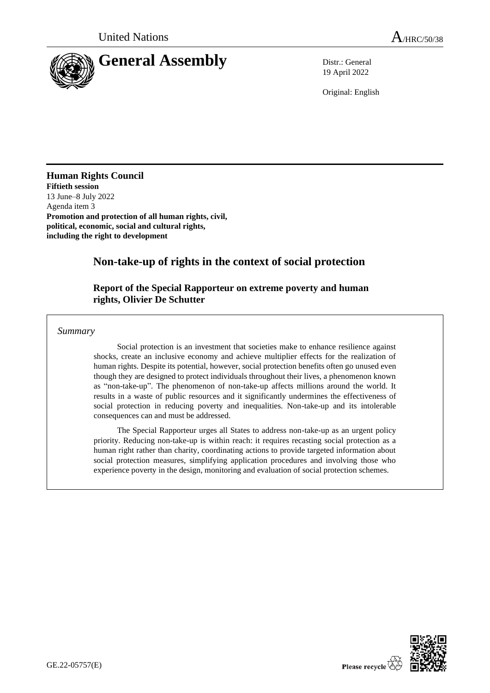

19 April 2022

Original: English

## **Human Rights Council**

**Fiftieth session** 13 June–8 July 2022 Agenda item 3 **Promotion and protection of all human rights, civil, political, economic, social and cultural rights, including the right to development**

# **Non-take-up of rights in the context of social protection**

## **Report of the Special Rapporteur on extreme poverty and human rights, Olivier De Schutter**

*Summary*

Social protection is an investment that societies make to enhance resilience against shocks, create an inclusive economy and achieve multiplier effects for the realization of human rights. Despite its potential, however, social protection benefits often go unused even though they are designed to protect individuals throughout their lives, a phenomenon known as "non-take-up". The phenomenon of non-take-up affects millions around the world. It results in a waste of public resources and it significantly undermines the effectiveness of social protection in reducing poverty and inequalities. Non-take-up and its intolerable consequences can and must be addressed.

The Special Rapporteur urges all States to address non-take-up as an urgent policy priority. Reducing non-take-up is within reach: it requires recasting social protection as a human right rather than charity, coordinating actions to provide targeted information about social protection measures, simplifying application procedures and involving those who experience poverty in the design, monitoring and evaluation of social protection schemes.

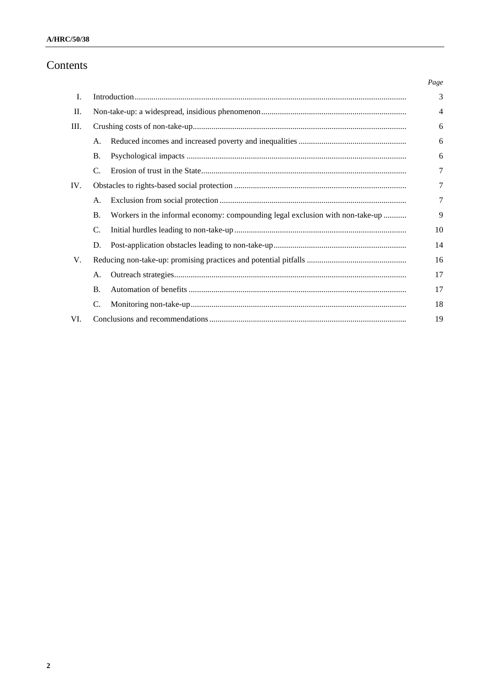# Contents

|      |           |                                                                               | Page   |
|------|-----------|-------------------------------------------------------------------------------|--------|
| L.   |           |                                                                               | 3      |
| П.   |           |                                                                               |        |
| III. |           |                                                                               | 6      |
|      | A.        |                                                                               | 6      |
|      | <b>B.</b> |                                                                               | 6      |
|      | C.        |                                                                               | $\tau$ |
| IV.  |           |                                                                               | 7      |
|      | А.        |                                                                               | $\tau$ |
|      | <b>B.</b> | Workers in the informal economy: compounding legal exclusion with non-take-up | 9      |
|      | C.        |                                                                               | 10     |
|      | D.        |                                                                               | 14     |
| V.   |           |                                                                               | 16     |
|      | А.        |                                                                               | 17     |
|      | <b>B.</b> |                                                                               | 17     |
|      | C.        |                                                                               | 18     |
| VI.  | 19        |                                                                               |        |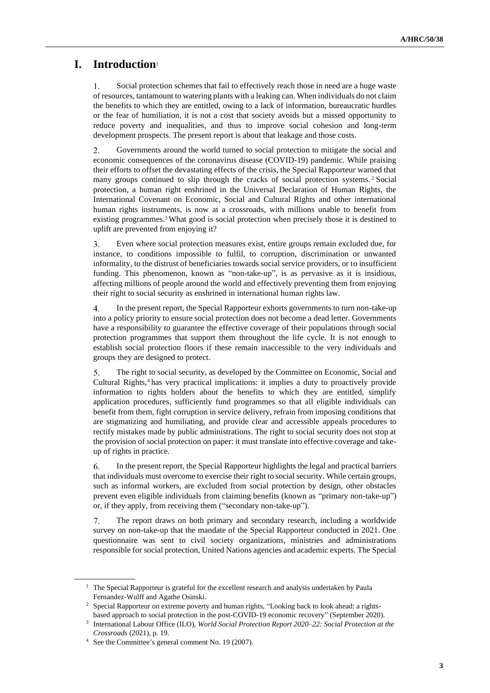# **I. Introduction**<sup>1</sup>

1. Social protection schemes that fail to effectively reach those in need are a huge waste of resources, tantamount to watering plants with a leaking can. When individuals do not claim the benefits to which they are entitled, owing to a lack of information, bureaucratic hurdles or the fear of humiliation, it is not a cost that society avoids but a missed opportunity to reduce poverty and inequalities, and thus to improve social cohesion and long-term development prospects. The present report is about that leakage and those costs.

2. Governments around the world turned to social protection to mitigate the social and economic consequences of the coronavirus disease (COVID-19) pandemic. While praising their efforts to offset the devastating effects of the crisis, the Special Rapporteur warned that many groups continued to slip through the cracks of social protection systems. <sup>2</sup> Social protection, a human right enshrined in the Universal Declaration of Human Rights, the International Covenant on Economic, Social and Cultural Rights and other international human rights instruments, is now at a crossroads, with millions unable to benefit from existing programmes.3What good is social protection when precisely those it is destined to uplift are prevented from enjoying it?

3. Even where social protection measures exist, entire groups remain excluded due, for instance, to conditions impossible to fulfil, to corruption, discrimination or unwanted informality, to the distrust of beneficiaries towards social service providers, or to insufficient funding. This phenomenon, known as "non-take-up", is as pervasive as it is insidious, affecting millions of people around the world and effectively preventing them from enjoying their right to social security as enshrined in international human rights law.

4. In the present report, the Special Rapporteur exhorts governments to turn non-take-up into a policy priority to ensure social protection does not become a dead letter. Governments have a responsibility to guarantee the effective coverage of their populations through social protection programmes that support them throughout the life cycle. It is not enough to establish social protection floors if these remain inaccessible to the very individuals and groups they are designed to protect.

5. The right to social security, as developed by the Committee on Economic, Social and Cultural Rights,<sup>4</sup> has very practical implications: it implies a duty to proactively provide information to rights holders about the benefits to which they are entitled, simplify application procedures, sufficiently fund programmes so that all eligible individuals can benefit from them, fight corruption in service delivery, refrain from imposing conditions that are stigmatizing and humiliating, and provide clear and accessible appeals procedures to rectify mistakes made by public administrations. The right to social security does not stop at the provision of social protection on paper: it must translate into effective coverage and takeup of rights in practice.

6. In the present report, the Special Rapporteur highlights the legal and practical barriers that individuals must overcome to exercise their right to social security. While certain groups, such as informal workers, are excluded from social protection by design, other obstacles prevent even eligible individuals from claiming benefits (known as "primary non-take-up") or, if they apply, from receiving them ("secondary non-take-up").

 $7<sub>1</sub>$ The report draws on both primary and secondary research, including a worldwide survey on non-take-up that the mandate of the Special Rapporteur conducted in 2021. One questionnaire was sent to civil society organizations, ministries and administrations responsible for social protection, United Nations agencies and academic experts. The Special

<sup>&</sup>lt;sup>1</sup> The Special Rapporteur is grateful for the excellent research and analysis undertaken by Paula Fernandez-Wulff and Agathe Osinski.

<sup>&</sup>lt;sup>2</sup> Special Rapporteur on extreme poverty and human rights, "Looking back to look ahead: a rightsbased approach to social protection in the post-COVID-19 economic recovery" (September 2020).

<sup>3</sup> International Labour Office (ILO), *World Social Protection Report 2020–22: Social Protection at the Crossroads* (2021), p. 19.

<sup>4</sup> See the Committee's general comment No. 19 (2007).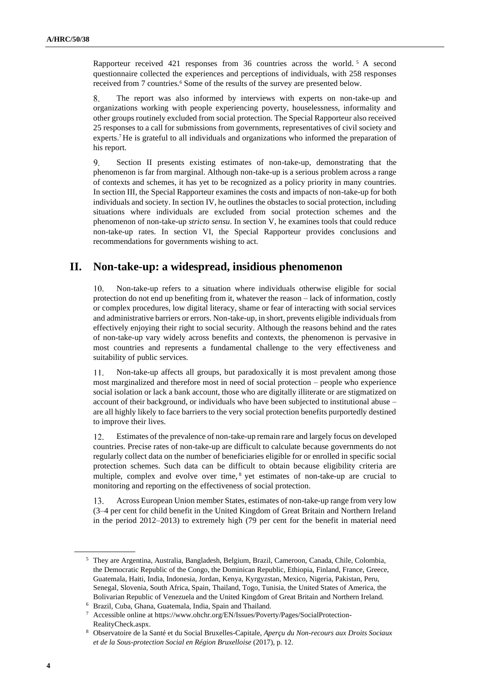Rapporteur received 421 responses from 36 countries across the world. <sup>5</sup> A second questionnaire collected the experiences and perceptions of individuals, with 258 responses received from 7 countries.<sup>6</sup> Some of the results of the survey are presented below.

8. The report was also informed by interviews with experts on non-take-up and organizations working with people experiencing poverty, houselessness, informality and other groups routinely excluded from social protection. The Special Rapporteur also received 25 responses to a call for submissions from governments, representatives of civil society and experts.<sup>7</sup> He is grateful to all individuals and organizations who informed the preparation of his report.

9. Section II presents existing estimates of non-take-up, demonstrating that the phenomenon is far from marginal. Although non-take-up is a serious problem across a range of contexts and schemes, it has yet to be recognized as a policy priority in many countries. In section III, the Special Rapporteur examines the costs and impacts of non-take-up for both individuals and society. In section IV, he outlines the obstacles to social protection, including situations where individuals are excluded from social protection schemes and the phenomenon of non-take-up *stricto sensu*. In section V, he examines tools that could reduce non-take-up rates. In section VI, the Special Rapporteur provides conclusions and recommendations for governments wishing to act.

## **II. Non-take-up: a widespread, insidious phenomenon**

Non-take-up refers to a situation where individuals otherwise eligible for social protection do not end up benefiting from it, whatever the reason – lack of information, costly or complex procedures, low digital literacy, shame or fear of interacting with social services and administrative barriers or errors. Non-take-up, in short, prevents eligible individuals from effectively enjoying their right to social security. Although the reasons behind and the rates of non-take-up vary widely across benefits and contexts, the phenomenon is pervasive in most countries and represents a fundamental challenge to the very effectiveness and suitability of public services.

Non-take-up affects all groups, but paradoxically it is most prevalent among those 11. most marginalized and therefore most in need of social protection – people who experience social isolation or lack a bank account, those who are digitally illiterate or are stigmatized on account of their background, or individuals who have been subjected to institutional abuse – are all highly likely to face barriers to the very social protection benefits purportedly destined to improve their lives.

Estimates of the prevalence of non-take-up remain rare and largely focus on developed 12. countries. Precise rates of non-take-up are difficult to calculate because governments do not regularly collect data on the number of beneficiaries eligible for or enrolled in specific social protection schemes. Such data can be difficult to obtain because eligibility criteria are multiple, complex and evolve over time, <sup>8</sup> yet estimates of non-take-up are crucial to monitoring and reporting on the effectiveness of social protection.

13. Across European Union member States, estimates of non-take-up range from very low (3–4 per cent for child benefit in the United Kingdom of Great Britain and Northern Ireland in the period 2012–2013) to extremely high (79 per cent for the benefit in material need

<sup>5</sup> They are Argentina, Australia, Bangladesh, Belgium, Brazil, Cameroon, Canada, Chile, Colombia, the Democratic Republic of the Congo, the Dominican Republic, Ethiopia, Finland, France, Greece, Guatemala, Haiti, India, Indonesia, Jordan, Kenya, Kyrgyzstan, Mexico, Nigeria, Pakistan, Peru, Senegal, Slovenia, South Africa, Spain, Thailand, Togo, Tunisia, the United States of America, the Bolivarian Republic of Venezuela and the United Kingdom of Great Britain and Northern Ireland.

<sup>6</sup> Brazil, Cuba, Ghana, Guatemala, India, Spain and Thailand.

<sup>7</sup> Accessible online at https://www.ohchr.org/EN/Issues/Poverty/Pages/SocialProtection-RealityCheck.aspx.

<sup>8</sup> Observatoire de la Santé et du Social Bruxelles-Capitale, *Aperçu du Non-recours aux Droits Sociaux et de la Sous-protection Social en Région Bruxelloise* (2017), p. 12.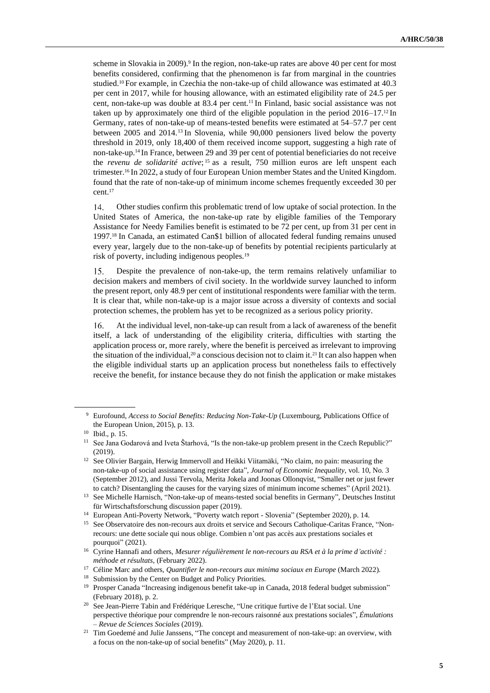scheme in Slovakia in 2009).<sup>9</sup> In the region, non-take-up rates are above 40 per cent for most benefits considered, confirming that the phenomenon is far from marginal in the countries studied.<sup>10</sup> For example, in Czechia the non-take-up of child allowance was estimated at 40.3 per cent in 2017, while for housing allowance, with an estimated eligibility rate of 24.5 per cent, non-take-up was double at 83.4 per cent.<sup>11</sup> In Finland, basic social assistance was not taken up by approximately one third of the eligible population in the period  $2016-17<sup>12</sup>$  In Germany, rates of non-take-up of means-tested benefits were estimated at 54–57.7 per cent between 2005 and 2014.<sup>13</sup> In Slovenia, while 90,000 pensioners lived below the poverty threshold in 2019, only 18,400 of them received income support, suggesting a high rate of non-take-up.<sup>14</sup> In France, between 29 and 39 per cent of potential beneficiaries do not receive the *revenu de solidarité active*; <sup>15</sup> as a result, 750 million euros are left unspent each trimester.<sup>16</sup> In 2022, a study of four European Union member States and the United Kingdom. found that the rate of non-take-up of minimum income schemes frequently exceeded 30 per cent.<sup>17</sup>

14. Other studies confirm this problematic trend of low uptake of social protection. In the United States of America, the non-take-up rate by eligible families of the Temporary Assistance for Needy Families benefit is estimated to be 72 per cent, up from 31 per cent in 1997.<sup>18</sup> In Canada, an estimated Can\$1 billion of allocated federal funding remains unused every year, largely due to the non-take-up of benefits by potential recipients particularly at risk of poverty, including indigenous peoples.<sup>19</sup>

Despite the prevalence of non-take-up, the term remains relatively unfamiliar to 15. decision makers and members of civil society. In the worldwide survey launched to inform the present report, only 48.9 per cent of institutional respondents were familiar with the term. It is clear that, while non-take-up is a major issue across a diversity of contexts and social protection schemes, the problem has yet to be recognized as a serious policy priority.

16. At the individual level, non-take-up can result from a lack of awareness of the benefit itself, a lack of understanding of the eligibility criteria, difficulties with starting the application process or, more rarely, where the benefit is perceived as irrelevant to improving the situation of the individual,<sup>20</sup> a conscious decision not to claim it.<sup>21</sup> It can also happen when the eligible individual starts up an application process but nonetheless fails to effectively receive the benefit, for instance because they do not finish the application or make mistakes

<sup>9</sup> Eurofound, *Access to Social Benefits: Reducing Non-Take-Up* (Luxembourg, Publications Office of the European Union, 2015), p. 13.

<sup>10</sup> Ibid., p. 15.

<sup>&</sup>lt;sup>11</sup> See Jana Godarová and Iveta Štarhová, "Is the non-take-up problem present in the Czech Republic?" (2019).

<sup>&</sup>lt;sup>12</sup> See Olivier Bargain, Herwig Immervoll and Heikki Viitamäki, "No claim, no pain: measuring the non-take-up of social assistance using register data", *Journal of Economic Inequality*, vol. 10, No. 3 (September 2012), and Jussi Tervola, Merita Jokela and Joonas Ollonqvist, "Smaller net or just fewer to catch? Disentangling the causes for the varying sizes of minimum income schemes" (April 2021).

<sup>13</sup> See Michelle Harnisch, "Non-take-up of means-tested social benefits in Germany", Deutsches Institut für Wirtschaftsforschung discussion paper (2019).

<sup>&</sup>lt;sup>14</sup> European Anti-Poverty Network, "Poverty watch report - Slovenia" (September 2020), p. 14.

<sup>15</sup> See Observatoire des non-recours aux droits et service and Secours Catholique-Caritas France, "Nonrecours: une dette sociale qui nous oblige. Combien n'ont pas accès aux prestations sociales et pourquoi" (2021).

<sup>16</sup> Cyrine Hannafi and others, *Mesurer régulièrement le non-recours au RSA et à la prime d'activité : méthode et résultats*, (February 2022).

<sup>17</sup> Céline Marc and others, *Quantifier le non-recours aux minima sociaux en Europe* (March 2022).

<sup>&</sup>lt;sup>18</sup> Submission by the Center on Budget and Policy Priorities.

<sup>19</sup> Prosper Canada "Increasing indigenous benefit take-up in Canada, 2018 federal budget submission" (February 2018), p. 2.

<sup>&</sup>lt;sup>20</sup> See Jean-Pierre Tabin and Frédérique Leresche, "Une critique furtive de l'Etat social. Une perspective théorique pour comprendre le non-recours raisonné aux prestations sociales", *Émulations – Revue de Sciences Sociales* (2019).

<sup>&</sup>lt;sup>21</sup> Tim Goedemé and Julie Janssens, "The concept and measurement of non-take-up: an overview, with a focus on the non-take-up of social benefits" (May 2020), p. 11.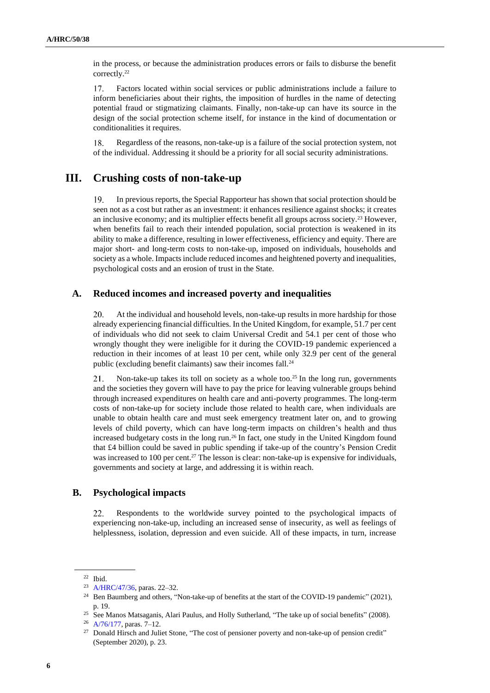in the process, or because the administration produces errors or fails to disburse the benefit correctly.<sup>22</sup>

17. Factors located within social services or public administrations include a failure to inform beneficiaries about their rights, the imposition of hurdles in the name of detecting potential fraud or stigmatizing claimants. Finally, non-take-up can have its source in the design of the social protection scheme itself, for instance in the kind of documentation or conditionalities it requires.

Regardless of the reasons, non-take-up is a failure of the social protection system, not 18. of the individual. Addressing it should be a priority for all social security administrations.

## **III. Crushing costs of non-take-up**

In previous reports, the Special Rapporteur has shown that social protection should be 19. seen not as a cost but rather as an investment: it enhances resilience against shocks; it creates an inclusive economy; and its multiplier effects benefit all groups across society.<sup>23</sup> However, when benefits fail to reach their intended population, social protection is weakened in its ability to make a difference, resulting in lower effectiveness, efficiency and equity. There are major short- and long-term costs to non-take-up, imposed on individuals, households and society as a whole. Impacts include reduced incomes and heightened poverty and inequalities, psychological costs and an erosion of trust in the State.

## **A. Reduced incomes and increased poverty and inequalities**

20. At the individual and household levels, non-take-up results in more hardship for those already experiencing financial difficulties. In the United Kingdom, for example, 51.7 per cent of individuals who did not seek to claim Universal Credit and 54.1 per cent of those who wrongly thought they were ineligible for it during the COVID-19 pandemic experienced a reduction in their incomes of at least 10 per cent, while only 32.9 per cent of the general public (excluding benefit claimants) saw their incomes fall.<sup>24</sup>

21. Non-take-up takes its toll on society as a whole too.<sup>25</sup> In the long run, governments and the societies they govern will have to pay the price for leaving vulnerable groups behind through increased expenditures on health care and anti-poverty programmes. The long-term costs of non-take-up for society include those related to health care, when individuals are unable to obtain health care and must seek emergency treatment later on, and to growing levels of child poverty, which can have long-term impacts on children's health and thus increased budgetary costs in the long run.<sup>26</sup> In fact, one study in the United Kingdom found that £4 billion could be saved in public spending if take-up of the country's Pension Credit was increased to 100 per cent.<sup>27</sup> The lesson is clear: non-take-up is expensive for individuals, governments and society at large, and addressing it is within reach.

### **B. Psychological impacts**

Respondents to the worldwide survey pointed to the psychological impacts of 22. experiencing non-take-up, including an increased sense of insecurity, as well as feelings of helplessness, isolation, depression and even suicide. All of these impacts, in turn, increase

<sup>22</sup> Ibid.

<sup>23</sup> [A/HRC/47/36,](http://undocs.org/en/A/HRC/47/36) paras. 22–32.

<sup>&</sup>lt;sup>24</sup> Ben Baumberg and others, "Non-take-up of benefits at the start of the COVID-19 pandemic" (2021), p. 19.

<sup>&</sup>lt;sup>25</sup> See Manos Matsaganis, Alari Paulus, and Holly Sutherland, "The take up of social benefits" (2008).

<sup>26</sup> [A/76/177,](http://undocs.org/en/A/76/177) paras. 7–12.

<sup>&</sup>lt;sup>27</sup> Donald Hirsch and Juliet Stone, "The cost of pensioner poverty and non-take-up of pension credit" (September 2020), p. 23.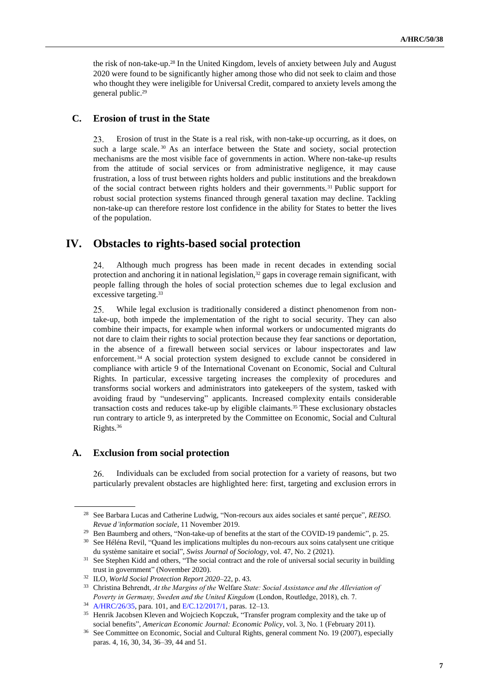the risk of non-take-up.<sup>28</sup> In the United Kingdom, levels of anxiety between July and August 2020 were found to be significantly higher among those who did not seek to claim and those who thought they were ineligible for Universal Credit, compared to anxiety levels among the general public.<sup>29</sup>

### **C. Erosion of trust in the State**

23. Erosion of trust in the State is a real risk, with non-take-up occurring, as it does, on such a large scale.<sup>30</sup> As an interface between the State and society, social protection mechanisms are the most visible face of governments in action. Where non-take-up results from the attitude of social services or from administrative negligence, it may cause frustration, a loss of trust between rights holders and public institutions and the breakdown of the social contract between rights holders and their governments.<sup>31</sup> Public support for robust social protection systems financed through general taxation may decline. Tackling non-take-up can therefore restore lost confidence in the ability for States to better the lives of the population.

## **IV. Obstacles to rights-based social protection**

24. Although much progress has been made in recent decades in extending social protection and anchoring it in national legislation,<sup>32</sup> gaps in coverage remain significant, with people falling through the holes of social protection schemes due to legal exclusion and excessive targeting.<sup>33</sup>

25. While legal exclusion is traditionally considered a distinct phenomenon from nontake-up, both impede the implementation of the right to social security. They can also combine their impacts, for example when informal workers or undocumented migrants do not dare to claim their rights to social protection because they fear sanctions or deportation, in the absence of a firewall between social services or labour inspectorates and law enforcement. <sup>34</sup> A social protection system designed to exclude cannot be considered in compliance with article 9 of the International Covenant on Economic, Social and Cultural Rights. In particular, excessive targeting increases the complexity of procedures and transforms social workers and administrators into gatekeepers of the system, tasked with avoiding fraud by "undeserving" applicants. Increased complexity entails considerable transaction costs and reduces take-up by eligible claimants.<sup>35</sup> These exclusionary obstacles run contrary to article 9, as interpreted by the Committee on Economic, Social and Cultural Rights.<sup>36</sup>

#### **A. Exclusion from social protection**

Individuals can be excluded from social protection for a variety of reasons, but two 26. particularly prevalent obstacles are highlighted here: first, targeting and exclusion errors in

<sup>28</sup> See Barbara Lucas and Catherine Ludwig, "Non-recours aux aides sociales et santé perçue", *REISO. Revue d'information sociale*, 11 November 2019.

<sup>&</sup>lt;sup>29</sup> Ben Baumberg and others, "Non-take-up of benefits at the start of the COVID-19 pandemic", p. 25.

<sup>30</sup> See Héléna Revil, "Quand les implications multiples du non-recours aux soins catalysent une critique du système sanitaire et social", *Swiss Journal of Sociology*, vol. 47, No. 2 (2021).

<sup>&</sup>lt;sup>31</sup> See Stephen Kidd and others, "The social contract and the role of universal social security in building trust in government" (November 2020).

<sup>32</sup> ILO, *World Social Protection Report 2020–*22, p. 43.

<sup>33</sup> Christina Behrendt, *At the Margins of the* Welfare *State: Social Assistance and the Alleviation of Poverty in Germany, Sweden and the United Kingdom* (London, Routledge, 2018), ch. 7.

<sup>34</sup> [A/HRC/26/35,](http://undocs.org/en/A/HRC/26/35) para. 101, an[d E/C.12/2017/1,](http://undocs.org/en/E/C.12/2017/1) paras. 12–13.

<sup>&</sup>lt;sup>35</sup> Henrik Jacobsen Kleven and Wojciech Kopczuk, "Transfer program complexity and the take up of social benefits", *American Economic Journal: Economic Policy*, vol. 3, No. 1 (February 2011).

<sup>36</sup> See Committee on Economic, Social and Cultural Rights, general comment No. 19 (2007), especially paras. 4, 16, 30, 34, 36–39, 44 and 51.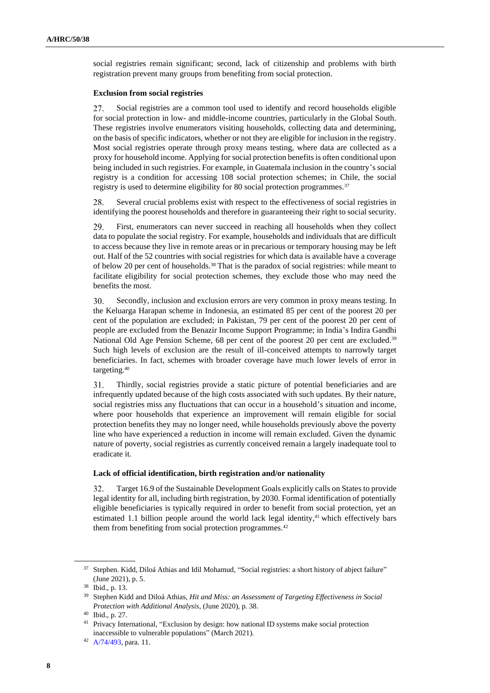social registries remain significant; second, lack of citizenship and problems with birth registration prevent many groups from benefiting from social protection.

#### **Exclusion from social registries**

Social registries are a common tool used to identify and record households eligible 27. for social protection in low- and middle-income countries, particularly in the Global South. These registries involve enumerators visiting households, collecting data and determining, on the basis of specific indicators, whether or not they are eligible for inclusion in the registry. Most social registries operate through proxy means testing, where data are collected as a proxy for household income. Applying for social protection benefits is often conditional upon being included in such registries. For example, in Guatemala inclusion in the country's social registry is a condition for accessing 108 social protection schemes; in Chile, the social registry is used to determine eligibility for 80 social protection programmes.<sup>37</sup>

28. Several crucial problems exist with respect to the effectiveness of social registries in identifying the poorest households and therefore in guaranteeing their right to social security.

29. First, enumerators can never succeed in reaching all households when they collect data to populate the social registry. For example, households and individuals that are difficult to access because they live in remote areas or in precarious or temporary housing may be left out. Half of the 52 countries with social registries for which data is available have a coverage of below 20 per cent of households.<sup>38</sup> That is the paradox of social registries: while meant to facilitate eligibility for social protection schemes, they exclude those who may need the benefits the most.

30. Secondly, inclusion and exclusion errors are very common in proxy means testing. In the Keluarga Harapan scheme in Indonesia, an estimated 85 per cent of the poorest 20 per cent of the population are excluded; in Pakistan, 79 per cent of the poorest 20 per cent of people are excluded from the Benazir Income Support Programme; in India's Indira Gandhi National Old Age Pension Scheme, 68 per cent of the poorest 20 per cent are excluded.<sup>39</sup> Such high levels of exclusion are the result of ill-conceived attempts to narrowly target beneficiaries. In fact, schemes with broader coverage have much lower levels of error in targeting.<sup>40</sup>

 $31.$ Thirdly, social registries provide a static picture of potential beneficiaries and are infrequently updated because of the high costs associated with such updates. By their nature, social registries miss any fluctuations that can occur in a household's situation and income, where poor households that experience an improvement will remain eligible for social protection benefits they may no longer need, while households previously above the poverty line who have experienced a reduction in income will remain excluded. Given the dynamic nature of poverty, social registries as currently conceived remain a largely inadequate tool to eradicate it.

#### **Lack of official identification, birth registration and/or nationality**

32. Target 16.9 of the Sustainable Development Goals explicitly calls on States to provide legal identity for all, including birth registration, by 2030. Formal identification of potentially eligible beneficiaries is typically required in order to benefit from social protection, yet an estimated 1.1 billion people around the world lack legal identity, $41$  which effectively bars them from benefiting from social protection programmes.<sup>42</sup>

<sup>&</sup>lt;sup>37</sup> Stephen. Kidd, Diloá Athias and Idil Mohamud, "Social registries: a short history of abject failure" (June 2021), p. 5.

<sup>38</sup> Ibid., p. 13.

<sup>39</sup> Stephen Kidd and Diloá Athias, *Hit and Miss: an Assessment of Targeting Effectiveness in Social Protection with Additional Analysis*, (June 2020), p. 38.

<sup>40</sup> Ibid., p. 27.

<sup>&</sup>lt;sup>41</sup> Privacy International, "Exclusion by design: how national ID systems make social protection inaccessible to vulnerable populations" (March 2021).

<sup>42</sup> [A/74/493,](http://undocs.org/en/A/74/493) para. 11.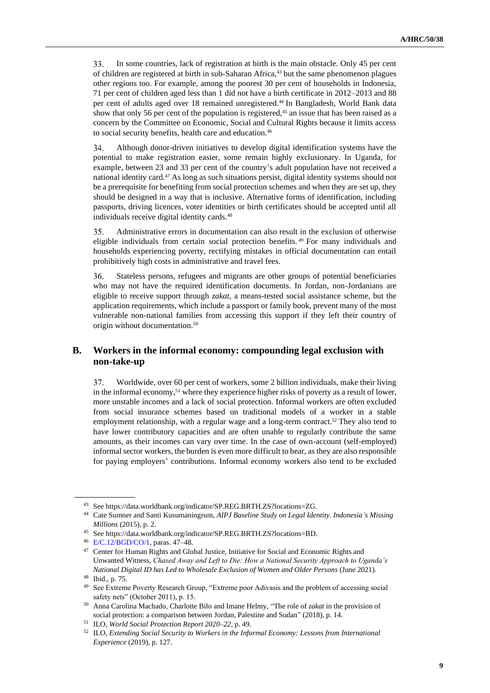33. In some countries, lack of registration at birth is the main obstacle. Only 45 per cent of children are registered at birth in sub-Saharan Africa,<sup>43</sup> but the same phenomenon plagues other regions too. For example, among the poorest 30 per cent of households in Indonesia, 71 per cent of children aged less than 1 did not have a birth certificate in 2012–2013 and 88 per cent of adults aged over 18 remained unregistered.<sup>44</sup> In Bangladesh, World Bank data show that only 56 per cent of the population is registered,<sup>45</sup> an issue that has been raised as a concern by the Committee on Economic, Social and Cultural Rights because it limits access to social security benefits, health care and education.<sup>46</sup>

Although donor-driven initiatives to develop digital identification systems have the 34. potential to make registration easier, some remain highly exclusionary. In Uganda, for example, between 23 and 33 per cent of the country's adult population have not received a national identity card.<sup>47</sup> As long as such situations persist, digital identity systems should not be a prerequisite for benefiting from social protection schemes and when they are set up, they should be designed in a way that is inclusive. Alternative forms of identification, including passports, driving licences, voter identities or birth certificates should be accepted until all individuals receive digital identity cards.<sup>48</sup>

35. Administrative errors in documentation can also result in the exclusion of otherwise eligible individuals from certain social protection benefits. <sup>49</sup> For many individuals and households experiencing poverty, rectifying mistakes in official documentation can entail prohibitively high costs in administrative and travel fees.

36. Stateless persons, refugees and migrants are other groups of potential beneficiaries who may not have the required identification documents. In Jordan, non-Jordanians are eligible to receive support through *zakat*, a means-tested social assistance scheme, but the application requirements, which include a passport or family book, prevent many of the most vulnerable non-national families from accessing this support if they left their country of origin without documentation.<sup>50</sup>

## **B. Workers in the informal economy: compounding legal exclusion with non-take-up**

37. Worldwide, over 60 per cent of workers, some 2 billion individuals, make their living in the informal economy,<sup>51</sup> where they experience higher risks of poverty as a result of lower, more unstable incomes and a lack of social protection. Informal workers are often excluded from social insurance schemes based on traditional models of a worker in a stable employment relationship, with a regular wage and a long-term contract.<sup>52</sup> They also tend to have lower contributory capacities and are often unable to regularly contribute the same amounts, as their incomes can vary over time. In the case of own-account (self-employed) informal sector workers, the burden is even more difficult to bear, as they are also responsible for paying employers' contributions. Informal economy workers also tend to be excluded

<sup>43</sup> See https://data.worldbank.org/indicator/SP.REG.BRTH.ZS?locations=ZG.

<sup>44</sup> Cate Sumner and Santi Kusumaningrum, *AIPJ Baseline Study on Legal Identity. Indonesia's Missing Millions* (2015), p. 2.

<sup>45</sup> See https://data.worldbank.org/indicator/SP.REG.BRTH.ZS?locations=BD.

<sup>46</sup> [E/C.12/BGD/CO/1,](http://undocs.org/en/E/C.12/BGD/CO/1) paras. 47–48.

<sup>47</sup> Center for Human Rights and Global Justice, Initiative for Social and Economic Rights and Unwanted Witness, *Chased Away and Left to Die: How a National Security Approach to Uganda's National Digital ID has Led to Wholesale Exclusion of Women and Older Persons* (June 2021).

<sup>48</sup> Ibid., p. 75.

See Extreme Poverty Research Group, "Extreme poor Adivasis and the problem of accessing social safety nets" (October 2011), p. 15.

<sup>50</sup> Anna Carolina Machado, Charlotte Bilo and Imane Helmy, "The role of *zakat* in the provision of social protection: a comparison between Jordan, Palestine and Sudan" (2018), p. 14.

<sup>51</sup> ILO, *World Social Protection Report 2020–22*, p. 49.

<sup>52</sup> ILO, *Extending Social Security to Workers in the Informal Economy: Lessons from International Experience* (2019), p. 127.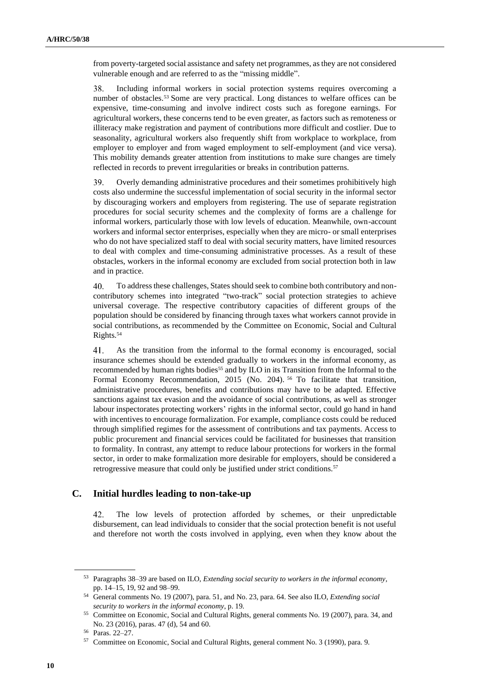from poverty-targeted social assistance and safety net programmes, as they are not considered vulnerable enough and are referred to as the "missing middle".

38. Including informal workers in social protection systems requires overcoming a number of obstacles.<sup>53</sup> Some are very practical. Long distances to welfare offices can be expensive, time-consuming and involve indirect costs such as foregone earnings. For agricultural workers, these concerns tend to be even greater, as factors such as remoteness or illiteracy make registration and payment of contributions more difficult and costlier. Due to seasonality, agricultural workers also frequently shift from workplace to workplace, from employer to employer and from waged employment to self-employment (and vice versa). This mobility demands greater attention from institutions to make sure changes are timely reflected in records to prevent irregularities or breaks in contribution patterns.

39. Overly demanding administrative procedures and their sometimes prohibitively high costs also undermine the successful implementation of social security in the informal sector by discouraging workers and employers from registering. The use of separate registration procedures for social security schemes and the complexity of forms are a challenge for informal workers, particularly those with low levels of education. Meanwhile, own-account workers and informal sector enterprises, especially when they are micro- or small enterprises who do not have specialized staff to deal with social security matters, have limited resources to deal with complex and time-consuming administrative processes. As a result of these obstacles, workers in the informal economy are excluded from social protection both in law and in practice.

40. To address these challenges, States should seek to combine both contributory and noncontributory schemes into integrated "two-track" social protection strategies to achieve universal coverage. The respective contributory capacities of different groups of the population should be considered by financing through taxes what workers cannot provide in social contributions, as recommended by the Committee on Economic, Social and Cultural Rights.<sup>54</sup>

41. As the transition from the informal to the formal economy is encouraged, social insurance schemes should be extended gradually to workers in the informal economy, as recommended by human rights bodies<sup>55</sup> and by ILO in its Transition from the Informal to the Formal Economy Recommendation, 2015 (No. 204). <sup>56</sup> To facilitate that transition, administrative procedures, benefits and contributions may have to be adapted. Effective sanctions against tax evasion and the avoidance of social contributions, as well as stronger labour inspectorates protecting workers' rights in the informal sector, could go hand in hand with incentives to encourage formalization. For example, compliance costs could be reduced through simplified regimes for the assessment of contributions and tax payments. Access to public procurement and financial services could be facilitated for businesses that transition to formality. In contrast, any attempt to reduce labour protections for workers in the formal sector, in order to make formalization more desirable for employers, should be considered a retrogressive measure that could only be justified under strict conditions.<sup>57</sup>

### **C. Initial hurdles leading to non-take-up**

42. The low levels of protection afforded by schemes, or their unpredictable disbursement, can lead individuals to consider that the social protection benefit is not useful and therefore not worth the costs involved in applying, even when they know about the

<sup>53</sup> Paragraphs 38–39 are based on ILO, *Extending social security to workers in the informal economy*, pp. 14–15, 19, 92 and 98–99.

<sup>54</sup> General comments No. 19 (2007), para. 51, and No. 23, para. 64. See also ILO, *Extending social security to workers in the informal economy*, p. 19.

<sup>55</sup> Committee on Economic, Social and Cultural Rights, general comments No. 19 (2007), para. 34, and No. 23 (2016), paras. 47 (d), 54 and 60.

<sup>56</sup> Paras. 22–27.

<sup>57</sup> Committee on Economic, Social and Cultural Rights, general comment No. 3 (1990), para. 9.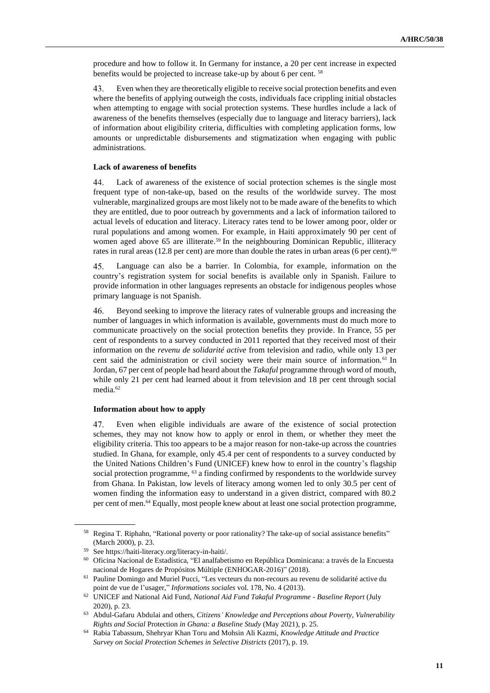procedure and how to follow it. In Germany for instance, a 20 per cent increase in expected benefits would be projected to increase take-up by about 6 per cent. <sup>58</sup>

Even when they are theoretically eligible to receive social protection benefits and even 43. where the benefits of applying outweigh the costs, individuals face crippling initial obstacles when attempting to engage with social protection systems. These hurdles include a lack of awareness of the benefits themselves (especially due to language and literacy barriers), lack of information about eligibility criteria, difficulties with completing application forms, low amounts or unpredictable disbursements and stigmatization when engaging with public administrations.

#### **Lack of awareness of benefits**

44. Lack of awareness of the existence of social protection schemes is the single most frequent type of non-take-up, based on the results of the worldwide survey. The most vulnerable, marginalized groups are most likely not to be made aware of the benefits to which they are entitled, due to poor outreach by governments and a lack of information tailored to actual levels of education and literacy. Literacy rates tend to be lower among poor, older or rural populations and among women. For example, in Haiti approximately 90 per cent of women aged above 65 are illiterate.<sup>59</sup> In the neighbouring Dominican Republic, illiteracy rates in rural areas (12.8 per cent) are more than double the rates in urban areas (6 per cent).<sup>60</sup>

45. Language can also be a barrier. In Colombia, for example, information on the country's registration system for social benefits is available only in Spanish. Failure to provide information in other languages represents an obstacle for indigenous peoples whose primary language is not Spanish.

Beyond seeking to improve the literacy rates of vulnerable groups and increasing the 46. number of languages in which information is available, governments must do much more to communicate proactively on the social protection benefits they provide. In France, 55 per cent of respondents to a survey conducted in 2011 reported that they received most of their information on the *revenu de solidarité active* from television and radio, while only 13 per cent said the administration or civil society were their main source of information.<sup>61</sup> In Jordan, 67 per cent of people had heard about the *Takaful* programme through word of mouth, while only 21 per cent had learned about it from television and 18 per cent through social media.<sup>62</sup>

#### **Information about how to apply**

47. Even when eligible individuals are aware of the existence of social protection schemes, they may not know how to apply or enrol in them, or whether they meet the eligibility criteria. This too appears to be a major reason for non-take-up across the countries studied. In Ghana, for example, only 45.4 per cent of respondents to a survey conducted by the United Nations Children's Fund (UNICEF) knew how to enrol in the country's flagship social protection programme, <sup>63</sup> a finding confirmed by respondents to the worldwide survey from Ghana. In Pakistan, low levels of literacy among women led to only 30.5 per cent of women finding the information easy to understand in a given district, compared with 80.2 per cent of men.<sup>64</sup> Equally, most people knew about at least one social protection programme,

<sup>58</sup> Regina T. Riphahn, "Rational poverty or poor rationality? The take-up of social assistance benefits" (March 2000), p. 23.

<sup>59</sup> See https://haiti-literacy.org/literacy-in-haiti/.

<sup>60</sup> Oficina Nacional de Estadística, "El analfabetismo en República Dominicana: a través de la Encuesta nacional de Hogares de Propósitos Múltiple (ENHOGAR-2016)" (2018).

<sup>61</sup> Pauline Domingo and Muriel Pucci, "Les vecteurs du non-recours au revenu de solidarité active du point de vue de l'usager," *Informations sociales* vol. 178, No. 4 (2013).

<sup>62</sup> UNICEF and National Aid Fund, *National Aid Fund Takaful Programme - Baseline Report* (July 2020), p. 23.

<sup>63</sup> Abdul-Gafaru Abdulai and others, *Citizens' Knowledge and Perceptions about Poverty, Vulnerability Rights and Social* Protection *in Ghana: a Baseline Study* (May 2021), p. 25.

<sup>64</sup> Rabia Tabassum, Shehryar Khan Toru and Mohsin Ali Kazmi, *Knowledge Attitude and Practice Survey on Social Protection Schemes in Selective Districts* (2017), p. 19.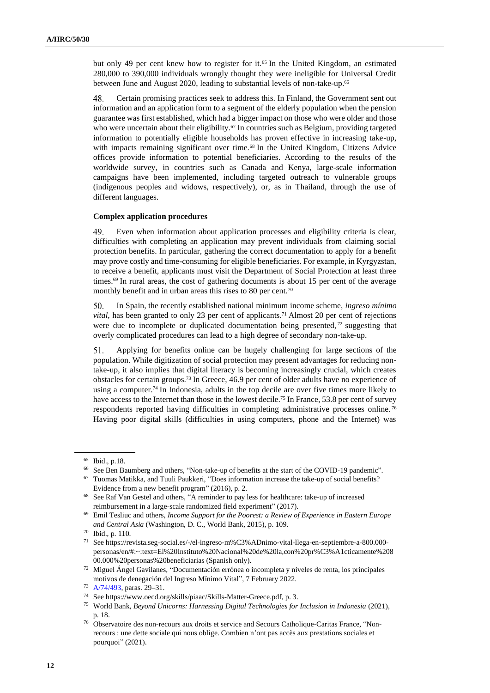but only 49 per cent knew how to register for it.<sup>65</sup> In the United Kingdom, an estimated 280,000 to 390,000 individuals wrongly thought they were ineligible for Universal Credit between June and August 2020, leading to substantial levels of non-take-up.<sup>66</sup>

48. Certain promising practices seek to address this. In Finland, the Government sent out information and an application form to a segment of the elderly population when the pension guarantee was first established, which had a bigger impact on those who were older and those who were uncertain about their eligibility.<sup>67</sup> In countries such as Belgium, providing targeted information to potentially eligible households has proven effective in increasing take-up, with impacts remaining significant over time.<sup>68</sup> In the United Kingdom, Citizens Advice offices provide information to potential beneficiaries. According to the results of the worldwide survey, in countries such as Canada and Kenya, large-scale information campaigns have been implemented, including targeted outreach to vulnerable groups (indigenous peoples and widows, respectively), or, as in Thailand, through the use of different languages.

#### **Complex application procedures**

49. Even when information about application processes and eligibility criteria is clear, difficulties with completing an application may prevent individuals from claiming social protection benefits. In particular, gathering the correct documentation to apply for a benefit may prove costly and time-consuming for eligible beneficiaries. For example, in Kyrgyzstan, to receive a benefit, applicants must visit the Department of Social Protection at least three times.<sup>69</sup> In rural areas, the cost of gathering documents is about 15 per cent of the average monthly benefit and in urban areas this rises to 80 per cent.<sup>70</sup>

50. In Spain, the recently established national minimum income scheme, *ingreso mínimo vital*, has been granted to only 23 per cent of applicants.<sup>71</sup> Almost 20 per cent of rejections were due to incomplete or duplicated documentation being presented, <sup>72</sup> suggesting that overly complicated procedures can lead to a high degree of secondary non-take-up.

51. Applying for benefits online can be hugely challenging for large sections of the population. While digitization of social protection may present advantages for reducing nontake-up, it also implies that digital literacy is becoming increasingly crucial, which creates obstacles for certain groups.<sup>73</sup> In Greece, 46.9 per cent of older adults have no experience of using a computer.<sup>74</sup> In Indonesia, adults in the top decile are over five times more likely to have access to the Internet than those in the lowest decile.<sup>75</sup> In France, 53.8 per cent of survey respondents reported having difficulties in completing administrative processes online. <sup>76</sup> Having poor digital skills (difficulties in using computers, phone and the Internet) was

<sup>65</sup> Ibid., p.18.

<sup>66</sup> See Ben Baumberg and others, "Non-take-up of benefits at the start of the COVID-19 pandemic".

 $67$  Tuomas Matikka, and Tuuli Paukkeri, "Does information increase the take-up of social benefits? Evidence from a new benefit program" (2016), p. 2.

<sup>68</sup> See Raf Van Gestel and others, "A reminder to pay less for healthcare: take-up of increased reimbursement in a large-scale randomized field experiment" (2017).

<sup>69</sup> Emil Tesliuc and others, *Income Support for the Poorest: a Review of Experience in Eastern Europe and Central Asia* (Washington, D. C., World Bank, 2015), p. 109.

<sup>70</sup> Ibid., p. 110.

<sup>71</sup> See https://revista.seg-social.es/-/el-ingreso-m%C3%ADnimo-vital-llega-en-septiembre-a-800.000 personas/en/#:~:text=El%20Instituto%20Nacional%20de%20la,con%20pr%C3%A1cticamente%208 00.000%20personas%20beneficiarias (Spanish only).

<sup>72</sup> Miguel Ángel Gavilanes, "Documentación errónea o incompleta y niveles de renta, los principales motivos de denegación del Ingreso Mínimo Vital", 7 February 2022.

<sup>73</sup> [A/74/493,](http://undocs.org/en/A/74/493) paras. 29–31.

<sup>74</sup> See https://www.oecd.org/skills/piaac/Skills-Matter-Greece.pdf, p. 3.

<sup>75</sup> World Bank, *Beyond Unicorns: Harnessing Digital Technologies for Inclusion in Indonesia* (2021), p. 18.

<sup>76</sup> Observatoire des non-recours aux droits et service and Secours Catholique-Caritas France, "Nonrecours : une dette sociale qui nous oblige. Combien n'ont pas accès aux prestations sociales et pourquoi" (2021).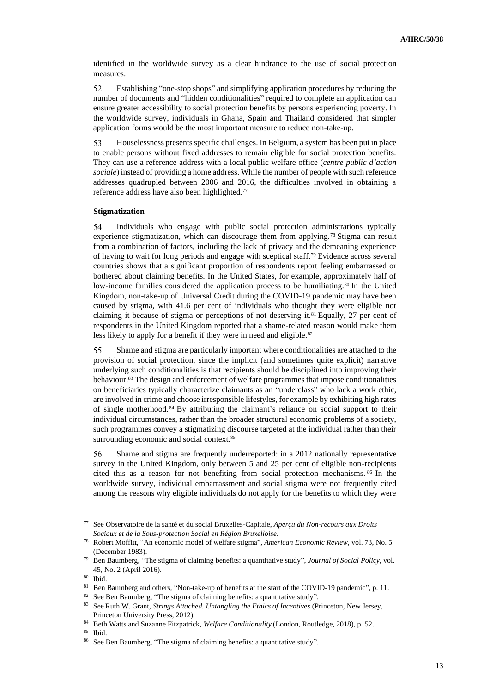identified in the worldwide survey as a clear hindrance to the use of social protection measures.

52. Establishing "one-stop shops" and simplifying application procedures by reducing the number of documents and "hidden conditionalities" required to complete an application can ensure greater accessibility to social protection benefits by persons experiencing poverty. In the worldwide survey, individuals in Ghana, Spain and Thailand considered that simpler application forms would be the most important measure to reduce non-take-up.

53. Houselessness presents specific challenges. In Belgium, a system has been put in place to enable persons without fixed addresses to remain eligible for social protection benefits. They can use a reference address with a local public welfare office (*centre public d'action sociale*) instead of providing a home address. While the number of people with such reference addresses quadrupled between 2006 and 2016, the difficulties involved in obtaining a reference address have also been highlighted.<sup>77</sup>

#### **Stigmatization**

54. Individuals who engage with public social protection administrations typically experience stigmatization, which can discourage them from applying.<sup>78</sup> Stigma can result from a combination of factors, including the lack of privacy and the demeaning experience of having to wait for long periods and engage with sceptical staff.<sup>79</sup> Evidence across several countries shows that a significant proportion of respondents report feeling embarrassed or bothered about claiming benefits. In the United States, for example, approximately half of low-income families considered the application process to be humiliating.<sup>80</sup> In the United Kingdom, non-take-up of Universal Credit during the COVID-19 pandemic may have been caused by stigma, with 41.6 per cent of individuals who thought they were eligible not claiming it because of stigma or perceptions of not deserving it.<sup>81</sup> Equally, 27 per cent of respondents in the United Kingdom reported that a shame-related reason would make them less likely to apply for a benefit if they were in need and eligible.<sup>82</sup>

55. Shame and stigma are particularly important where conditionalities are attached to the provision of social protection, since the implicit (and sometimes quite explicit) narrative underlying such conditionalities is that recipients should be disciplined into improving their behaviour.<sup>83</sup> The design and enforcement of welfare programmes that impose conditionalities on beneficiaries typically characterize claimants as an "underclass" who lack a work ethic, are involved in crime and choose irresponsible lifestyles, for example by exhibiting high rates of single motherhood. <sup>84</sup> By attributing the claimant's reliance on social support to their individual circumstances, rather than the broader structural economic problems of a society, such programmes convey a stigmatizing discourse targeted at the individual rather than their surrounding economic and social context.<sup>85</sup>

56. Shame and stigma are frequently underreported: in a 2012 nationally representative survey in the United Kingdom, only between 5 and 25 per cent of eligible non-recipients cited this as a reason for not benefiting from social protection mechanisms. <sup>86</sup> In the worldwide survey, individual embarrassment and social stigma were not frequently cited among the reasons why eligible individuals do not apply for the benefits to which they were

<sup>77</sup> See Observatoire de la santé et du social Bruxelles-Capitale, *Aperçu du Non-recours aux Droits Sociaux et de la Sous-protection Social en Région Bruxelloise*.

<sup>78</sup> Robert Moffitt, "An economic model of welfare stigma", *American Economic Review*, vol. 73, No. 5 (December 1983).

<sup>79</sup> Ben Baumberg, "The stigma of claiming benefits: a quantitative study", *Journal of Social Policy*, vol. 45, No. 2 (April 2016).

<sup>80</sup> Ibid.

<sup>81</sup> Ben Baumberg and others, "Non-take-up of benefits at the start of the COVID-19 pandemic", p. 11.

<sup>82</sup> See Ben Baumberg, "The stigma of claiming benefits: a quantitative study".

<sup>83</sup> See Ruth W. Grant, *Strings Attached. Untangling the Ethics of Incentives* (Princeton, New Jersey, Princeton University Press, 2012).

<sup>84</sup> Beth Watts and Suzanne Fitzpatrick, *Welfare Conditionality* (London, Routledge, 2018), p. 52.

<sup>85</sup> Ibid.

<sup>86</sup> See Ben Baumberg, "The stigma of claiming benefits: a quantitative study".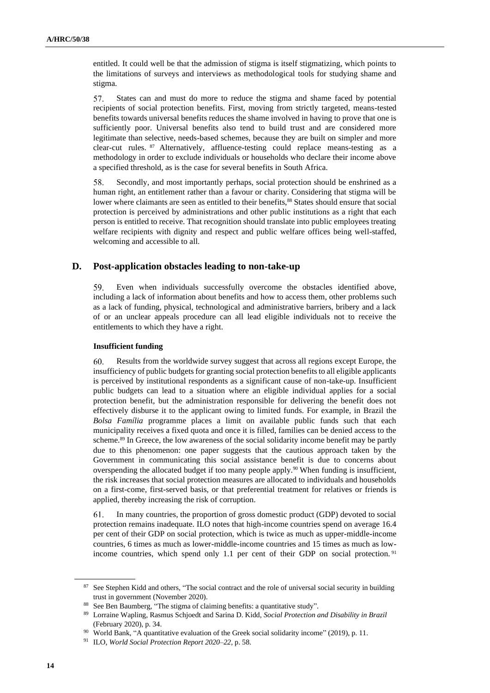entitled. It could well be that the admission of stigma is itself stigmatizing, which points to the limitations of surveys and interviews as methodological tools for studying shame and stigma.

57. States can and must do more to reduce the stigma and shame faced by potential recipients of social protection benefits. First, moving from strictly targeted, means-tested benefits towards universal benefits reduces the shame involved in having to prove that one is sufficiently poor. Universal benefits also tend to build trust and are considered more legitimate than selective, needs-based schemes, because they are built on simpler and more clear-cut rules. <sup>87</sup> Alternatively, affluence-testing could replace means-testing as a methodology in order to exclude individuals or households who declare their income above a specified threshold, as is the case for several benefits in South Africa.

58. Secondly, and most importantly perhaps, social protection should be enshrined as a human right, an entitlement rather than a favour or charity. Considering that stigma will be lower where claimants are seen as entitled to their benefits,<sup>88</sup> States should ensure that social protection is perceived by administrations and other public institutions as a right that each person is entitled to receive. That recognition should translate into public employees treating welfare recipients with dignity and respect and public welfare offices being well-staffed, welcoming and accessible to all.

### **D. Post-application obstacles leading to non-take-up**

59. Even when individuals successfully overcome the obstacles identified above, including a lack of information about benefits and how to access them, other problems such as a lack of funding, physical, technological and administrative barriers, bribery and a lack of or an unclear appeals procedure can all lead eligible individuals not to receive the entitlements to which they have a right.

#### **Insufficient funding**

60. Results from the worldwide survey suggest that across all regions except Europe, the insufficiency of public budgets for granting social protection benefits to all eligible applicants is perceived by institutional respondents as a significant cause of non-take-up. Insufficient public budgets can lead to a situation where an eligible individual applies for a social protection benefit, but the administration responsible for delivering the benefit does not effectively disburse it to the applicant owing to limited funds. For example, in Brazil the *Bolsa Família* programme places a limit on available public funds such that each municipality receives a fixed quota and once it is filled, families can be denied access to the scheme.<sup>89</sup> In Greece, the low awareness of the social solidarity income benefit may be partly due to this phenomenon: one paper suggests that the cautious approach taken by the Government in communicating this social assistance benefit is due to concerns about overspending the allocated budget if too many people apply.<sup>90</sup> When funding is insufficient, the risk increases that social protection measures are allocated to individuals and households on a first-come, first-served basis, or that preferential treatment for relatives or friends is applied, thereby increasing the risk of corruption.

61. In many countries, the proportion of gross domestic product (GDP) devoted to social protection remains inadequate. ILO notes that high-income countries spend on average 16.4 per cent of their GDP on social protection, which is twice as much as upper-middle-income countries, 6 times as much as lower-middle-income countries and 15 times as much as lowincome countries, which spend only 1.1 per cent of their GDP on social protection.<sup>91</sup>

<sup>&</sup>lt;sup>87</sup> See Stephen Kidd and others, "The social contract and the role of universal social security in building trust in government (November 2020).

<sup>88</sup> See Ben Baumberg, "The stigma of claiming benefits: a quantitative study".

<sup>89</sup> Lorraine Wapling, Rasmus Schjoedt and Sarina D. Kidd, *Social Protection and Disability in Brazil*  (February 2020), p. 34.

<sup>&</sup>lt;sup>90</sup> World Bank, "A quantitative evaluation of the Greek social solidarity income" (2019), p. 11.

<sup>91</sup> ILO, *World Social Protection Report 2020–22*, p. 58.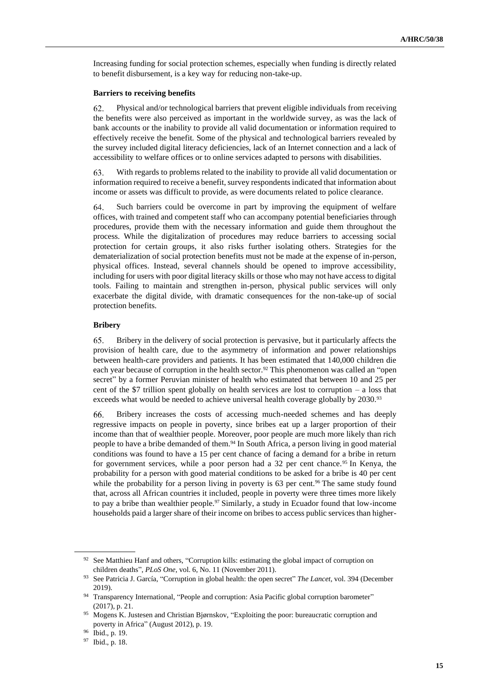Increasing funding for social protection schemes, especially when funding is directly related to benefit disbursement, is a key way for reducing non-take-up.

#### **Barriers to receiving benefits**

Physical and/or technological barriers that prevent eligible individuals from receiving 62. the benefits were also perceived as important in the worldwide survey, as was the lack of bank accounts or the inability to provide all valid documentation or information required to effectively receive the benefit. Some of the physical and technological barriers revealed by the survey included digital literacy deficiencies, lack of an Internet connection and a lack of accessibility to welfare offices or to online services adapted to persons with disabilities.

63. With regards to problems related to the inability to provide all valid documentation or information required to receive a benefit, survey respondents indicated that information about income or assets was difficult to provide, as were documents related to police clearance.

64. Such barriers could be overcome in part by improving the equipment of welfare offices, with trained and competent staff who can accompany potential beneficiaries through procedures, provide them with the necessary information and guide them throughout the process. While the digitalization of procedures may reduce barriers to accessing social protection for certain groups, it also risks further isolating others. Strategies for the dematerialization of social protection benefits must not be made at the expense of in-person, physical offices. Instead, several channels should be opened to improve accessibility, including for users with poor digital literacy skills or those who may not have access to digital tools. Failing to maintain and strengthen in-person, physical public services will only exacerbate the digital divide, with dramatic consequences for the non-take-up of social protection benefits.

#### **Bribery**

65. Bribery in the delivery of social protection is pervasive, but it particularly affects the provision of health care, due to the asymmetry of information and power relationships between health-care providers and patients. It has been estimated that 140,000 children die each year because of corruption in the health sector.<sup>92</sup> This phenomenon was called an "open secret" by a former Peruvian minister of health who estimated that between 10 and 25 per cent of the \$7 trillion spent globally on health services are lost to corruption – a loss that exceeds what would be needed to achieve universal health coverage globally by 2030.93

Bribery increases the costs of accessing much-needed schemes and has deeply 66. regressive impacts on people in poverty, since bribes eat up a larger proportion of their income than that of wealthier people. Moreover, poor people are much more likely than rich people to have a bribe demanded of them.<sup>94</sup> In South Africa, a person living in good material conditions was found to have a 15 per cent chance of facing a demand for a bribe in return for government services, while a poor person had a  $32$  per cent chance.<sup>95</sup> In Kenya, the probability for a person with good material conditions to be asked for a bribe is 40 per cent while the probability for a person living in poverty is 63 per cent.<sup>96</sup> The same study found that, across all African countries it included, people in poverty were three times more likely to pay a bribe than wealthier people.<sup>97</sup> Similarly, a study in Ecuador found that low-income households paid a larger share of their income on bribes to access public services than higher-

<sup>&</sup>lt;sup>92</sup> See Matthieu Hanf and others, "Corruption kills: estimating the global impact of corruption on children deaths", *PLoS One*, vol. 6, No. 11 (November 2011).

<sup>93</sup> See Patricia J. García, "Corruption in global health: the open secret" *The Lancet*, vol. 394 (December 2019).

<sup>94</sup> Transparency International, "People and corruption: Asia Pacific global corruption barometer" (2017), p. 21.

<sup>95</sup> Mogens K. Justesen and Christian Bjørnskov, "Exploiting the poor: bureaucratic corruption and poverty in Africa" (August 2012), p. 19.

<sup>96</sup> Ibid., p. 19.

<sup>97</sup> Ibid., p. 18.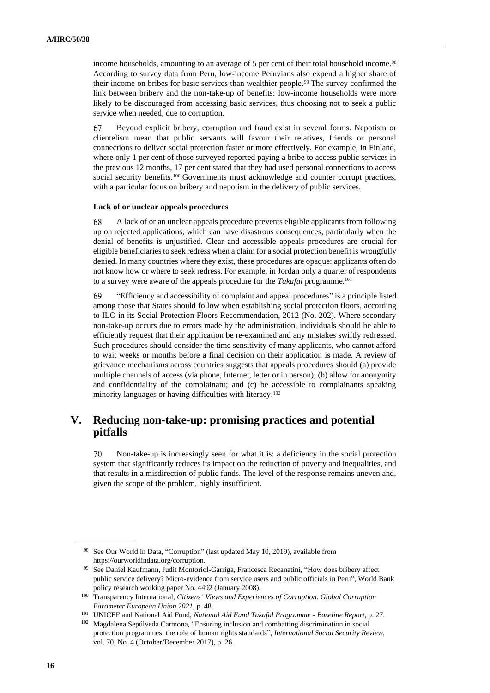income households, amounting to an average of 5 per cent of their total household income.<sup>98</sup> According to survey data from Peru, low-income Peruvians also expend a higher share of their income on bribes for basic services than wealthier people.<sup>99</sup> The survey confirmed the link between bribery and the non-take-up of benefits: low-income households were more likely to be discouraged from accessing basic services, thus choosing not to seek a public service when needed, due to corruption.

67. Beyond explicit bribery, corruption and fraud exist in several forms. Nepotism or clientelism mean that public servants will favour their relatives, friends or personal connections to deliver social protection faster or more effectively. For example, in Finland, where only 1 per cent of those surveyed reported paying a bribe to access public services in the previous 12 months, 17 per cent stated that they had used personal connections to access social security benefits.<sup>100</sup> Governments must acknowledge and counter corrupt practices, with a particular focus on bribery and nepotism in the delivery of public services.

#### **Lack of or unclear appeals procedures**

A lack of or an unclear appeals procedure prevents eligible applicants from following 68. up on rejected applications, which can have disastrous consequences, particularly when the denial of benefits is unjustified. Clear and accessible appeals procedures are crucial for eligible beneficiaries to seek redress when a claim for a social protection benefit is wrongfully denied. In many countries where they exist, these procedures are opaque: applicants often do not know how or where to seek redress. For example, in Jordan only a quarter of respondents to a survey were aware of the appeals procedure for the *Takaful* programme.<sup>101</sup>

69. "Efficiency and accessibility of complaint and appeal procedures" is a principle listed among those that States should follow when establishing social protection floors, according to ILO in its Social Protection Floors Recommendation, 2012 (No. 202). Where secondary non-take-up occurs due to errors made by the administration, individuals should be able to efficiently request that their application be re-examined and any mistakes swiftly redressed. Such procedures should consider the time sensitivity of many applicants, who cannot afford to wait weeks or months before a final decision on their application is made. A review of grievance mechanisms across countries suggests that appeals procedures should (a) provide multiple channels of access (via phone, Internet, letter or in person); (b) allow for anonymity and confidentiality of the complainant; and (c) be accessible to complainants speaking minority languages or having difficulties with literacy.<sup>102</sup>

## **V. Reducing non-take-up: promising practices and potential pitfalls**

70. Non-take-up is increasingly seen for what it is: a deficiency in the social protection system that significantly reduces its impact on the reduction of poverty and inequalities, and that results in a misdirection of public funds. The level of the response remains uneven and, given the scope of the problem, highly insufficient.

<sup>98</sup> See Our World in Data, "Corruption" (last updated May 10, 2019), available from https://ourworldindata.org/corruption.

<sup>99</sup> See Daniel Kaufmann, Judit Montoriol-Garriga, Francesca Recanatini, "How does bribery affect public service delivery? Micro-evidence from service users and public officials in Peru", World Bank policy research working paper No. 4492 (January 2008).

<sup>100</sup> Transparency International, *Citizens' Views and Experiences of Corruption. Global Corruption Barometer European Union 2021*, p. 48.

<sup>101</sup> UNICEF and National Aid Fund, *National Aid Fund Takaful Programme - Baseline Report*, p. 27.

<sup>102</sup> Magdalena Sepúlveda Carmona, "Ensuring inclusion and combatting discrimination in social protection programmes: the role of human rights standards", *International Social Security Review*, vol. 70, No. 4 (October/December 2017), p. 26.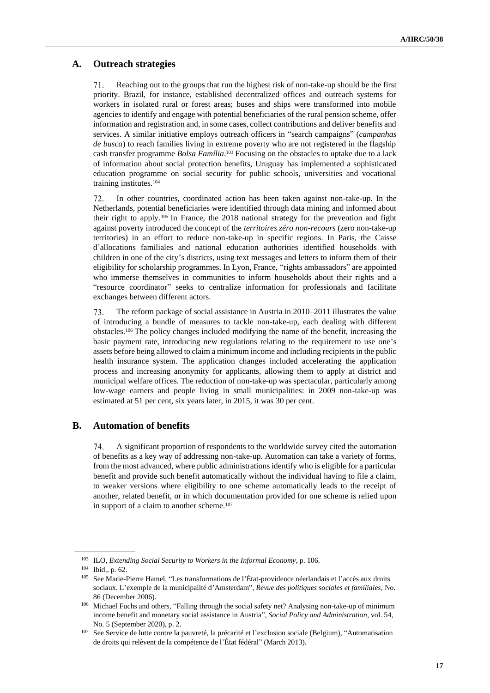## **A. Outreach strategies**

71. Reaching out to the groups that run the highest risk of non-take-up should be the first priority. Brazil, for instance, established decentralized offices and outreach systems for workers in isolated rural or forest areas; buses and ships were transformed into mobile agencies to identify and engage with potential beneficiaries of the rural pension scheme, offer information and registration and, in some cases, collect contributions and deliver benefits and services. A similar initiative employs outreach officers in "search campaigns" (*campanhas de busca*) to reach families living in extreme poverty who are not registered in the flagship cash transfer programme *Bolsa Família*. <sup>103</sup> Focusing on the obstacles to uptake due to a lack of information about social protection benefits, Uruguay has implemented a sophisticated education programme on social security for public schools, universities and vocational training institutes.<sup>104</sup>

In other countries, coordinated action has been taken against non-take-up. In the 72. Netherlands, potential beneficiaries were identified through data mining and informed about their right to apply.<sup>105</sup> In France, the 2018 national strategy for the prevention and fight against poverty introduced the concept of the *territoires zéro non-recours* (zero non-take-up territories) in an effort to reduce non-take-up in specific regions. In Paris, the Caisse d'allocations familiales and national education authorities identified households with children in one of the city's districts, using text messages and letters to inform them of their eligibility for scholarship programmes. In Lyon, France, "rights ambassadors" are appointed who immerse themselves in communities to inform households about their rights and a "resource coordinator" seeks to centralize information for professionals and facilitate exchanges between different actors.

73. The reform package of social assistance in Austria in 2010–2011 illustrates the value of introducing a bundle of measures to tackle non-take-up, each dealing with different obstacles.<sup>106</sup> The policy changes included modifying the name of the benefit, increasing the basic payment rate, introducing new regulations relating to the requirement to use one's assets before being allowed to claim a minimum income and including recipients in the public health insurance system. The application changes included accelerating the application process and increasing anonymity for applicants, allowing them to apply at district and municipal welfare offices. The reduction of non-take-up was spectacular, particularly among low-wage earners and people living in small municipalities: in 2009 non-take-up was estimated at 51 per cent, six years later, in 2015, it was 30 per cent.

### **B. Automation of benefits**

74. A significant proportion of respondents to the worldwide survey cited the automation of benefits as a key way of addressing non-take-up. Automation can take a variety of forms, from the most advanced, where public administrations identify who is eligible for a particular benefit and provide such benefit automatically without the individual having to file a claim, to weaker versions where eligibility to one scheme automatically leads to the receipt of another, related benefit, or in which documentation provided for one scheme is relied upon in support of a claim to another scheme.<sup>107</sup>

<sup>103</sup> ILO, *Extending Social Security to Workers in the Informal Economy*, p. 106.

<sup>104</sup> Ibid., p. 62.

<sup>105</sup> See Marie-Pierre Hamel, "Les transformations de l'État-providence néerlandais et l'accès aux droits sociaux. L'exemple de la municipalité d'Amsterdam", *Revue des politiques sociales et familiales*, No. 86 (December 2006).

<sup>106</sup> Michael Fuchs and others, "Falling through the social safety net? Analysing non-take-up of minimum income benefit and monetary social assistance in Austria"*, Social Policy and Administration*, vol. 54, No. 5 (September 2020), p. 2.

<sup>&</sup>lt;sup>107</sup> See Service de lutte contre la pauvreté, la précarité et l'exclusion sociale (Belgium), "Automatisation de droits qui relèvent de la compétence de l'État fédéral" (March 2013).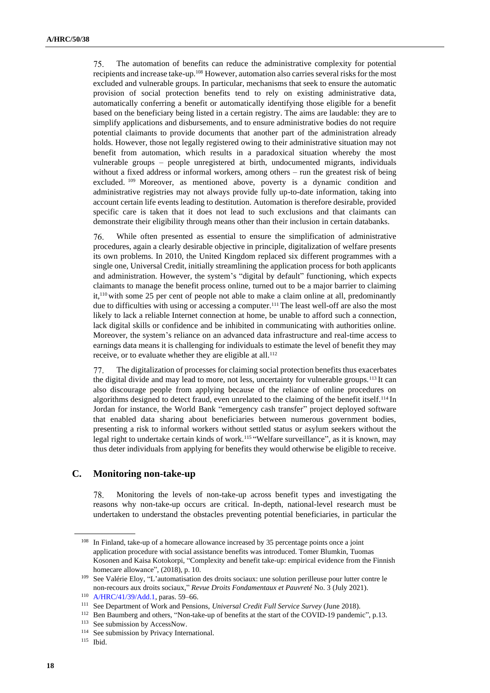75. The automation of benefits can reduce the administrative complexity for potential recipients and increase take-up.<sup>108</sup> However, automation also carries several risks for the most excluded and vulnerable groups. In particular, mechanisms that seek to ensure the automatic provision of social protection benefits tend to rely on existing administrative data, automatically conferring a benefit or automatically identifying those eligible for a benefit based on the beneficiary being listed in a certain registry. The aims are laudable: they are to simplify applications and disbursements, and to ensure administrative bodies do not require potential claimants to provide documents that another part of the administration already holds. However, those not legally registered owing to their administrative situation may not benefit from automation, which results in a paradoxical situation whereby the most vulnerable groups – people unregistered at birth, undocumented migrants, individuals without a fixed address or informal workers, among others – run the greatest risk of being excluded. <sup>109</sup> Moreover, as mentioned above, poverty is a dynamic condition and administrative registries may not always provide fully up-to-date information, taking into account certain life events leading to destitution. Automation is therefore desirable, provided specific care is taken that it does not lead to such exclusions and that claimants can demonstrate their eligibility through means other than their inclusion in certain databanks.

While often presented as essential to ensure the simplification of administrative 76. procedures, again a clearly desirable objective in principle, digitalization of welfare presents its own problems. In 2010, the United Kingdom replaced six different programmes with a single one, Universal Credit, initially streamlining the application process for both applicants and administration. However, the system's "digital by default" functioning, which expects claimants to manage the benefit process online, turned out to be a major barrier to claiming it,<sup>110</sup> with some 25 per cent of people not able to make a claim online at all, predominantly due to difficulties with using or accessing a computer.<sup>111</sup> The least well-off are also the most likely to lack a reliable Internet connection at home, be unable to afford such a connection, lack digital skills or confidence and be inhibited in communicating with authorities online. Moreover, the system's reliance on an advanced data infrastructure and real-time access to earnings data means it is challenging for individuals to estimate the level of benefit they may receive, or to evaluate whether they are eligible at all.<sup>112</sup>

77. The digitalization of processes for claiming social protection benefits thus exacerbates the digital divide and may lead to more, not less, uncertainty for vulnerable groups.<sup>113</sup>It can also discourage people from applying because of the reliance of online procedures on algorithms designed to detect fraud, even unrelated to the claiming of the benefit itself.<sup>114</sup> In Jordan for instance, the World Bank "emergency cash transfer" project deployed software that enabled data sharing about beneficiaries between numerous government bodies, presenting a risk to informal workers without settled status or asylum seekers without the legal right to undertake certain kinds of work.<sup>115</sup> "Welfare surveillance", as it is known, may thus deter individuals from applying for benefits they would otherwise be eligible to receive.

## **C. Monitoring non-take-up**

Monitoring the levels of non-take-up across benefit types and investigating the 78. reasons why non-take-up occurs are critical. In-depth, national-level research must be undertaken to understand the obstacles preventing potential beneficiaries, in particular the

<sup>&</sup>lt;sup>108</sup> In Finland, take-up of a homecare allowance increased by 35 percentage points once a joint application procedure with social assistance benefits was introduced. Tomer Blumkin, Tuomas Kosonen and Kaisa Kotokorpi, "Complexity and benefit take-up: empirical evidence from the Finnish homecare allowance", (2018), p. 10.

<sup>109</sup> See Valérie Eloy, "L'automatisation des droits sociaux: une solution perilleuse pour lutter contre le non-recours aux droits sociaux," *Revue Droits Fondamentaux et Pauvreté* No. 3 (July 2021).

<sup>110</sup> [A/HRC/41/39/Add.1,](http://undocs.org/en/A/HRC/41/39/Add.1) paras. 59–66.

<sup>111</sup> See Department of Work and Pensions, *Universal Credit Full Service Survey* (June 2018).

<sup>&</sup>lt;sup>112</sup> Ben Baumberg and others, "Non-take-up of benefits at the start of the COVID-19 pandemic", p.13.

<sup>113</sup> See submission by AccessNow.

<sup>114</sup> See submission by Privacy International.

<sup>115</sup> Ibid.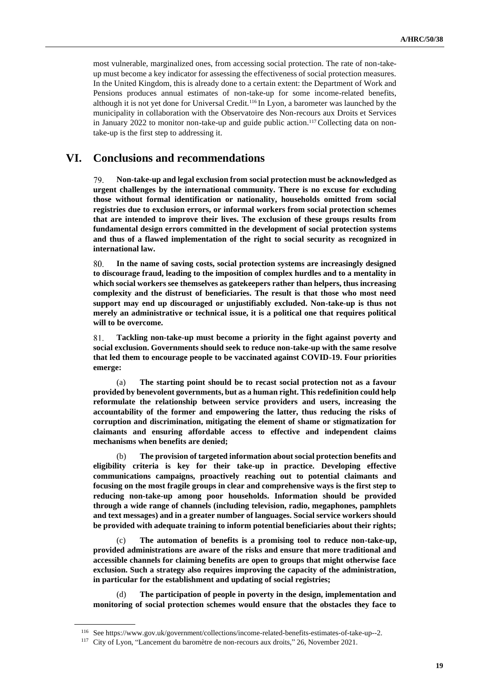most vulnerable, marginalized ones, from accessing social protection. The rate of non-takeup must become a key indicator for assessing the effectiveness of social protection measures. In the United Kingdom, this is already done to a certain extent: the Department of Work and Pensions produces annual estimates of non-take-up for some income-related benefits, although it is not yet done for Universal Credit.<sup>116</sup> In Lyon, a barometer was launched by the municipality in collaboration with the Observatoire des Non-recours aux Droits et Services in January 2022 to monitor non-take-up and guide public action.<sup>117</sup> Collecting data on nontake-up is the first step to addressing it.

## **VI. Conclusions and recommendations**

79. **Non-take-up and legal exclusion from social protection must be acknowledged as urgent challenges by the international community. There is no excuse for excluding those without formal identification or nationality, households omitted from social registries due to exclusion errors, or informal workers from social protection schemes that are intended to improve their lives. The exclusion of these groups results from fundamental design errors committed in the development of social protection systems and thus of a flawed implementation of the right to social security as recognized in international law.**

80. **In the name of saving costs, social protection systems are increasingly designed to discourage fraud, leading to the imposition of complex hurdles and to a mentality in which social workers see themselves as gatekeepers rather than helpers, thus increasing complexity and the distrust of beneficiaries. The result is that those who most need support may end up discouraged or unjustifiably excluded. Non-take-up is thus not merely an administrative or technical issue, it is a political one that requires political will to be overcome.**

81. **Tackling non-take-up must become a priority in the fight against poverty and social exclusion. Governments should seek to reduce non-take-up with the same resolve that led them to encourage people to be vaccinated against COVID-19. Four priorities emerge:**

(a) **The starting point should be to recast social protection not as a favour provided by benevolent governments, but as a human right. This redefinition could help reformulate the relationship between service providers and users, increasing the accountability of the former and empowering the latter, thus reducing the risks of corruption and discrimination, mitigating the element of shame or stigmatization for claimants and ensuring affordable access to effective and independent claims mechanisms when benefits are denied;**

(b) **The provision of targeted information about social protection benefits and eligibility criteria is key for their take-up in practice. Developing effective communications campaigns, proactively reaching out to potential claimants and focusing on the most fragile groups in clear and comprehensive ways is the first step to reducing non-take-up among poor households. Information should be provided through a wide range of channels (including television, radio, megaphones, pamphlets and text messages) and in a greater number of languages. Social service workers should be provided with adequate training to inform potential beneficiaries about their rights;**

(c) **The automation of benefits is a promising tool to reduce non-take-up, provided administrations are aware of the risks and ensure that more traditional and accessible channels for claiming benefits are open to groups that might otherwise face exclusion. Such a strategy also requires improving the capacity of the administration, in particular for the establishment and updating of social registries;**

(d) **The participation of people in poverty in the design, implementation and monitoring of social protection schemes would ensure that the obstacles they face to** 

<sup>116</sup> See https://www.gov.uk/government/collections/income-related-benefits-estimates-of-take-up--2.

<sup>117</sup> City of Lyon, "Lancement du baromètre de non-recours aux droits," 26, November 2021.